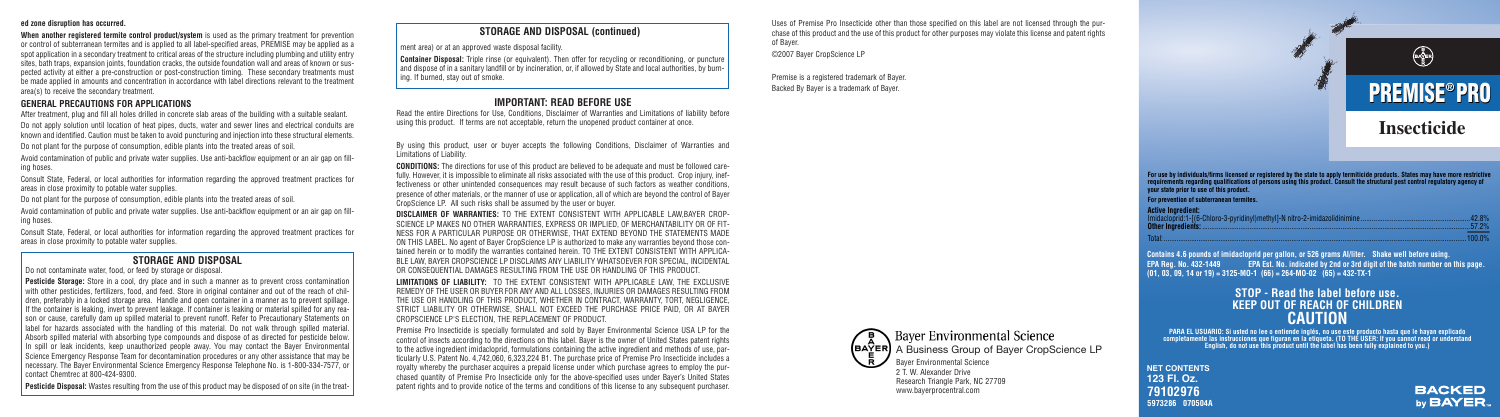#### **ed zone disruption has occurred.**

**When another registered termite control product/system** is used as the primary treatment for prevention or control of subterranean termites and is applied to all label-specified areas, PREMISE may be applied as a spot application in a secondary treatment to critical areas of the structure including plumbing and utility entry sites, bath traps, expansion joints, foundation cracks, the outside foundation wall and areas of known or suspected activity at either a pre-construction or post-construction timing. These secondary treatments must be made applied in amounts and concentration in accordance with label directions relevant to the treatment area(s) to receive the secondary treatment.

#### **GENERAL PRECAUTIONS FOR APPLICATIONS**

After treatment, plug and fill all holes drilled in concrete slab areas of the building with a suitable sealant. Do not apply solution until location of heat pipes, ducts, water and sewer lines and electrical conduits are known and identified. Caution must be taken to avoid puncturing and injection into these structural elements. Do not plant for the purpose of consumption, edible plants into the treated areas of soil.

Avoid contamination of public and private water supplies. Use anti-backflow equipment or an air gap on filling hoses.

Consult State, Federal, or local authorities for information regarding the approved treatment practices for areas in close proximity to potable water supplies.

Do not plant for the purpose of consumption, edible plants into the treated areas of soil.

Avoid contamination of public and private water supplies. Use anti-backflow equipment or an air gap on filling hoses.

Consult State, Federal, or local authorities for information regarding the approved treatment practices for areas in close proximity to potable water supplies.

#### **IMPORTANT: READ BEFORE USE**

Read the entire Directions for Use, Conditions, Disclaimer of Warranties and Limitations of liability before using this product. If terms are not acceptable, return the unopened product container at once.

By using this product, user or buyer accepts the following Conditions, Disclaimer of Warranties and Limitations of Liability.

**CONDITIONS:** The directions for use of this product are believed to be adequate and must be followed carefully. However, it is impossible to eliminate all risks associated with the use of this product. Crop injury, ineffectiveness or other unintended consequences may result because of such factors as weather conditions, presence of other materials, or the manner of use or application, all of which are beyond the control of Bayer CropScience LP. All such risks shall be assumed by the user or buyer.

**DISCLAIMER OF WARRANTIES:** TO THE EXTENT CONSISTENT WITH APPLICABLE LAW,BAYER CROP-SCIENCE LP MAKES NO OTHER WARRANTIES, EXPRESS OR IMPLIED, OF MERCHANTABILITY OR OF FIT-NESS FOR A PARTICULAR PURPOSE OR OTHERWISE, THAT EXTEND BEYOND THE STATEMENTS MADE ON THIS LABEL. No agent of Bayer CropScience LP is authorized to make any warranties beyond those contained herein or to modify the warranties contained herein. TO THE EXTENT CONSISTENT WITH APPLICA-BLE LAW, BAYER CROPSCIENCE LP DISCLAIMS ANY LIABILITY WHATSOEVER FOR SPECIAL, INCIDENTAL OR CONSEQUENTIAL DAMAGES RESULTING FROM THE USE OR HANDLING OF THIS PRODUCT.

For use by individuals/firms licensed or registered by the state to apply termiticide products. States may have more restrictive<br>requirements regarding qualifications of persons using this product. Consult the structural p **your state prior to use of this product.**

**LIMITATIONS OF LIABILITY:** TO THE EXTENT CONSISTENT WITH APPLICABLE LAW, THE EXCLUSIVE REMEDY OF THE USER OR BUYER FOR ANY AND ALL LOSSES, INJURIES OR DAMAGES RESULTING FROM THE USE OR HANDLING OF THIS PRODUCT, WHETHER IN CONTRACT, WARRANTY, TORT, NEGLIGENCE, STRICT LIABILITY OR OTHERWISE, SHALL NOT EXCEED THE PURCHASE PRICE PAID, OR AT BAYER CROPSCIENCE LP'S ELECTION, THE REPLACEMENT OF PRODUCT.

Premise Pro Insecticide is specially formulated and sold by Bayer Environmental Science USA LP for the control of insects according to the directions on this label. Bayer is the owner of United States patent rights to the active ingredient imidacloprid, formulations containing the active ingredient and methods of use, particularly U.S. Patent No. 4,742,060, 6,323,224 B1. The purchase price of Premise Pro Insecticide includes a royalty whereby the purchaser acquires a prepaid license under which purchase agrees to employ the purchased quantity of Premise Pro Insecticide only for the above-specified uses under Bayer's United States patent rights and to provide notice of the terms and conditions of this license to any subsequent purchaser.

Uses of Premise Pro Insecticide other than those specified on this label are not licensed through the purchase of this product and the use of this product for other purposes may violate this license and patent rights of Bayer.

©2007 Bayer CropScience LP

Premise is a registered trademark of Bayer. Backed By Bayer is a trademark of Bayer.

## **Insecticide**

# **PREMISE PRO ®**

**Active Ingredient:** Imidacloprid:1-[(6-Chloro-3-pyridinyl)methyl]-N nitro-2-imidazolidinimine ............................................................42.8% **Other Ingredients:**...................................................................................................................................................57.2% Total: ......................................................................................................................................................................100.0%

**NET CONTENTS 123 Fl. Oz. 79102976 5973286 070504A**



#### **CAUTION STOP - Read the label before use. KEEP OUT OF REACH OF CHILDREN**

**PARA EL USUARIO: Si usted no lee o entiende inglés, no use este producto hasta que le hayan explicado completamente las instrucciones que figuran en la etiqueta. (TO THE USER: If you cannot read or understand English, do not use this product until the label has been fully explained to you.)**

**EPA Reg. No. 432-1449 EPA Est. No. indicated by 2nd or 3rd digit of the batch number on this page. (01, 03, 09, 14 or 19) = 3125-MO-1 (66) = 264-MO-02 (65) = 432-TX-1 Contains 4.6 pounds of imidacloprid per gallon, or 526 grams AI/liter. Shake well before using.**

**For prevention of subterranean termites.**

#### **STORAGE AND DISPOSAL**

Do not contaminate water, food, or feed by storage or disposal

**Pesticide Storage:** Store in a cool, dry place and in such a manner as to prevent cross contamination with other pesticides, fertilizers, food, and feed. Store in original container and out of the reach of children, preferably in a locked storage area. Handle and open container in a manner as to prevent spillage. If the container is leaking, invert to prevent leakage. If container is leaking or material spilled for any reason or cause, carefully dam up spilled material to prevent runoff. Refer to Precautionary Statements on label for hazards associated with the handling of this material. Do not walk through spilled material. Absorb spilled material with absorbing type compounds and dispose of as directed for pesticide below. In spill or leak incidents, keep unauthorized people away. You may contact the Bayer Environmental Science Emergency Response Team for decontamination procedures or any other assistance that may be necessary. The Bayer Environmental Science Emergency Response Telephone No. is 1-800-334-7577, or contact Chemtrec at 800-424-9300.

**Pesticide Disposal:** Wastes resulting from the use of this product may be disposed of on site (in the treat-





ment area) or at an approved waste disposal facility.

**Container Disposal:** Triple rinse (or equivalent). Then offer for recycling or reconditioning, or puncture and dispose of in a sanitary landfill or by incineration, or, if allowed by State and local authorities, by burning. If burned, stay out of smoke.

#### **STORAGE AND DISPOSAL (continued)**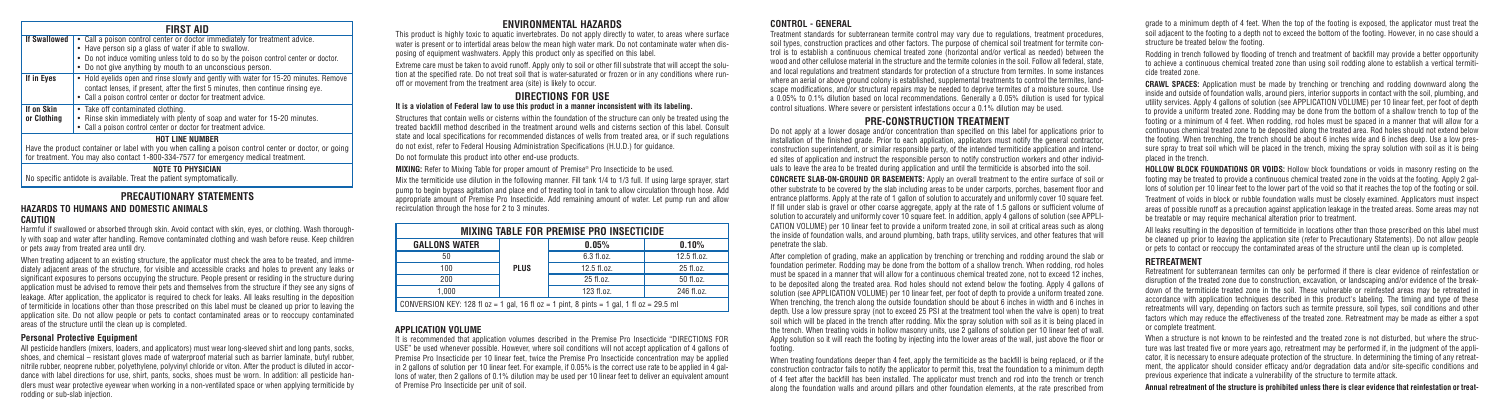#### **PRECAUTIONARY STATEMENTS**

#### **HAZARDS TO HUMANS AND DOMESTIC ANIMALS**

#### **CAUTION**

Harmful if swallowed or absorbed through skin. Avoid contact with skin, eyes, or clothing. Wash thoroughly with soap and water after handling. Remove contaminated clothing and wash before reuse. Keep children or pets away from treated area until dry.

When treating adjacent to an existing structure, the applicator must check the area to be treated, and immediately adjacent areas of the structure, for visible and accessible cracks and holes to prevent any leaks or significant exposures to persons occupying the structure. People present or residing in the structure during application must be advised to remove their pets and themselves from the structure if they see any signs of leakage. After application, the applicator is required to check for leaks. All leaks resulting in the deposition of termiticide in locations other than those prescribed on this label must be cleaned up prior to leaving the application site. Do not allow people or pets to contact contaminated areas or to reoccupy contaminated areas of the structure until the clean up is completed.

#### **Personal Protective Equipment**

All pesticide handlers (mixers, loaders, and applicators) must wear long-sleeved shirt and long pants, socks, shoes, and chemical – resistant gloves made of waterproof material such as barrier laminate, butyl rubber, nitrile rubber, neoprene rubber, polyethylene, polyvinyl chloride or viton. After the product is diluted in accordance with label directions for use, shirt, pants, socks, shoes must be worn. In addition: all pesticide handlers must wear protective eyewear when working in a non-ventilated space or when applying termiticide by rodding or sub-slab injection.

#### **ENVIRONMENTAL HAZARDS**

This product is highly toxic to aquatic invertebrates. Do not apply directly to water, to areas where surface water is present or to intertidal areas below the mean high water mark. Do not contaminate water when disposing of equipment washwaters. Apply this product only as specified on this label.

Extreme care must be taken to avoid runoff. Apply only to soil or other fill substrate that will accept the solution at the specified rate. Do not treat soil that is water-saturated or frozen or in any conditions where runoff or movement from the treatment area (site) is likely to occur.

#### **DIRECTIONS FOR USE It is a violation of Federal law to use this product in a manner inconsistent with its labeling.**

Structures that contain wells or cisterns within the foundation of the structure can only be treated using the treated backfill method described in the treatment around wells and cisterns section of this label. Consult state and local specifications for recommended distances of wells from treated area, or if such regulations do not exist, refer to Federal Housing Administration Specifications (H.U.D.) for guidance.

Do not formulate this product into other end-use products.

**MIXING:** Refer to Mixing Table for proper amount of Premise® Pro Insecticide to be used.

Mix the termiticide use dilution in the following manner. Fill tank 1/4 to 1/3 full. If using large sprayer, start pump to begin bypass agitation and place end of treating tool in tank to allow circulation through hose. Add appropriate amount of Premise Pro Insecticide. Add remaining amount of water. Let pump run and allow recirculation through the hose for 2 to 3 minutes.

#### **CONTROL - GENERAL**

Treatment standards for subterranean termite control may vary due to regulations, treatment procedures, soil types, construction practices and other factors. The purpose of chemical soil treatment for termite control is to establish a continuous chemical treated zone (horizontal and/or vertical as needed) between the wood and other cellulose material in the structure and the termite colonies in the soil. Follow all federal, state, and local regulations and treatment standards for protection of a structure from termites. In some instances where an aerial or above ground colony is established, supplemental treatments to control the termites, landscape modifications, and/or structural repairs may be needed to deprive termites of a moisture source. Use a 0.05% to 0.1% dilution based on local recommendations. Generally a 0.05% dilution is used for typical control situations. Where severe or persistent infestations occur a 0.1% dilution may be used.

#### **PRE-CONSTRUCTION TREATMENT**

Do not apply at a lower dosage and/or concentration than specified on this label for applications prior to installation of the finished grade. Prior to each application, applicators must notify the general contractor, construction superintendent, or similar responsible party, of the intended termiticide application and intended sites of application and instruct the responsible person to notify construction workers and other individuals to leave the area to be treated during application and until the termiticide is absorbed into the soil.

**CONCRETE SLAB-ON-GROUND OR BASEMENTS:** Apply an overall treatment to the entire surface of soil or other substrate to be covered by the slab including areas to be under carports, porches, basement floor and entrance platforms. Apply at the rate of 1 gallon of solution to accurately and uniformly cover 10 square feet. If fill under slab is gravel or other coarse aggregate, apply at the rate of 1.5 gallons or sufficient volume of solution to accurately and uniformly cover 10 square feet. In addition, apply 4 gallons of solution (see APPLI-CATION VOLUME) per 10 linear feet to provide a uniform treated zone, in soil at critical areas such as along the inside of foundation walls, and around plumbing, bath traps, utility services, and other features that will penetrate the slab.

**If in Eyes** • Hold evelids open and rinse slowly and gently with water for 15-20 minutes. Remove contact lenses, if present, after the first 5 minutes, then continue rinsing eye. • Call a poison control center or doctor for treatment advice.

After completion of grading, make an application by trenching or trenching and rodding around the slab or foundation perimeter. Rodding may be done from the bottom of a shallow trench. When rodding, rod holes must be spaced in a manner that will allow for a continuous chemical treated zone, not to exceed 12 inches, to be deposited along the treated area. Rod holes should not extend below the footing. Apply 4 gallons of solution (see APPLICATION VOLUME) per 10 linear feet, per foot of depth to provide a uniform treated zone. When trenching, the trench along the outside foundation should be about 6 inches in width and 6 inches in depth. Use a low pressure spray (not to exceed 25 PSI at the treatment tool when the valve is open) to treat soil which will be placed in the trench after rodding. Mix the spray solution with soil as it is being placed in the trench. When treating voids in hollow masonry units, use 2 gallons of solution per 10 linear feet of wall. Apply solution so it will reach the footing by injecting into the lower areas of the wall, just above the floor or footing.

When treating foundations deeper than 4 feet, apply the termiticide as the backfill is being replaced, or if the construction contractor fails to notify the applicator to permit this, treat the foundation to a minimum depth of 4 feet after the backfill has been installed. The applicator must trench and rod into the trench or trench along the foundation walls and around pillars and other foundation elements, at the rate prescribed from grade to a minimum depth of 4 feet. When the top of the footing is exposed, the applicator must treat the soil adjacent to the footing to a depth not to exceed the bottom of the footing. However, in no case should a structure be treated below the footing.

Rodding in trench followed by flooding of trench and treatment of backfill may provide a better opportunity to achieve a continuous chemical treated zone than using soil rodding alone to establish a vertical termiticide treated zone.

**CRAWL SPACES:** Application must be made by trenching or trenching and rodding downward along the inside and outside of foundation walls, around piers, interior supports in contact with the soil, plumbing, and utility services. Apply 4 gallons of solution (see APPLICATION VOLUME) per 10 linear feet, per foot of depth to provide a uniform treated zone. Rodding may be done from the bottom of a shallow trench to top of the footing or a minimum of 4 feet. When rodding, rod holes must be spaced in a manner that will allow for a continuous chemical treated zone to be deposited along the treated area. Rod holes should not extend below the footing. When trenching, the trench should be about 6 inches wide and 6 inches deep. Use a low pressure spray to treat soil which will be placed in the trench, mixing the spray solution with soil as it is being placed in the trench.

**HOLLOW BLOCK FOUNDATIONS OR VOIDS:** Hollow block foundations or voids in masonry resting on the footing may be treated to provide a continuous chemical treated zone in the voids at the footing. Apply 2 gallons of solution per 10 linear feet to the lower part of the void so that it reaches the top of the footing or soil.

Treatment of voids in block or rubble foundation walls must be closely examined. Applicators must inspect areas of possible runoff as a precaution against application leakage in the treated areas. Some areas may not be treatable or may require mechanical alteration prior to treatment.

All leaks resulting in the deposition of termiticide in locations other than those prescribed on this label must be cleaned up prior to leaving the application site (refer to Precautionary Statements). Do not allow people or pets to contact or reoccupy the contaminated areas of the structure until the clean up is completed.

#### **RETREATMENT**

Retreatment for subterranean termites can only be performed if there is clear evidence of reinfestation or disruption of the treated zone due to construction, excavation, or landscaping and/or evidence of the breakdown of the termiticide treated zone in the soil. These vulnerable or reinfested areas may be retreated in accordance with application techniques described in this product's labeling. The timing and type of these retreatments will vary, depending on factors such as termite pressure, soil types, soil conditions and other factors which may reduce the effectiveness of the treated zone. Retreatment may be made as either a spot or complete treatment.

When a structure is not known to be reinfested and the treated zone is not disturbed, but where the structure was last treated five or more years ago, retreatment may be performed if, in the judgment of the applicator, it is necessary to ensure adequate protection of the structure. In determining the timing of any retreatment, the applicator should consider efficacy and/or degradation data and/or site-specific conditions and previous experience that indicate a vulnerability of the structure to termite attack.

**Annual retreatment of the structure is prohibited unless there is clear evidence that reinfestation or treat-**

#### **FIRST AID**

#### **If Swallowed** • Call a poison control center or doctor immediately for treatment advice. • Have person sip a glass of water if able to swallow. • Do not induce vomiting unless told to do so by the poison control center or doctor.

• Do not give anything by mouth to an unconscious person.

#### **If on Skin** • Take off contaminated clothing.

**or Clothing •** Rinse skin immediately with plenty of soap and water for 15-20 minutes

• Call a poison control center or doctor for treatment advice.

#### **HOT LINE NUMBER**

Have the product container or label with you when calling a poison control center or doctor, or going for treatment. You may also contact 1-800-334-7577 for emergency medical treatment.

#### **NOTE TO PHYSICIAN**

No specific antidote is available. Treat the patient symptomatically.

| <b>MIXING TABLE FOR PREMISE PRO INSECTICIDE</b>                                                |             |             |             |  |
|------------------------------------------------------------------------------------------------|-------------|-------------|-------------|--|
| <b>GALLONS WATER</b>                                                                           |             | 0.05%       | 0.10%       |  |
| 50                                                                                             |             | 6.3 fl.oz.  | 12.5 fl.oz. |  |
| 100                                                                                            | <b>PLUS</b> | 12.5 fl.oz. | 25 fl.oz.   |  |
| 200                                                                                            |             | 25 fl.oz.   | 50 fl.oz.   |  |
| 1.000                                                                                          |             | 123 fl.oz.  | 246 fl.oz.  |  |
| CONVERSION KEY: 128 fl $oz = 1$ gal, 16 fl $oz = 1$ pint, 8 pints = 1 gal, 1 fl $oz = 29.5$ ml |             |             |             |  |

#### **APPLICATION VOLUME**

It is recommended that application volumes described in the Premise Pro Insecticide "DIRECTIONS FOR USE" be used whenever possible. However, where soil conditions will not accept application of 4 gallons of Premise Pro Insecticide per 10 linear feet, twice the Premise Pro Insecticide concentration may be applied in 2 gallons of solution per 10 linear feet. For example, if 0.05% is the correct use rate to be applied in 4 gallons of water, then 2 gallons of 0.1% dilution may be used per 10 linear feet to deliver an equivalent amount of Premise Pro Insecticide per unit of soil.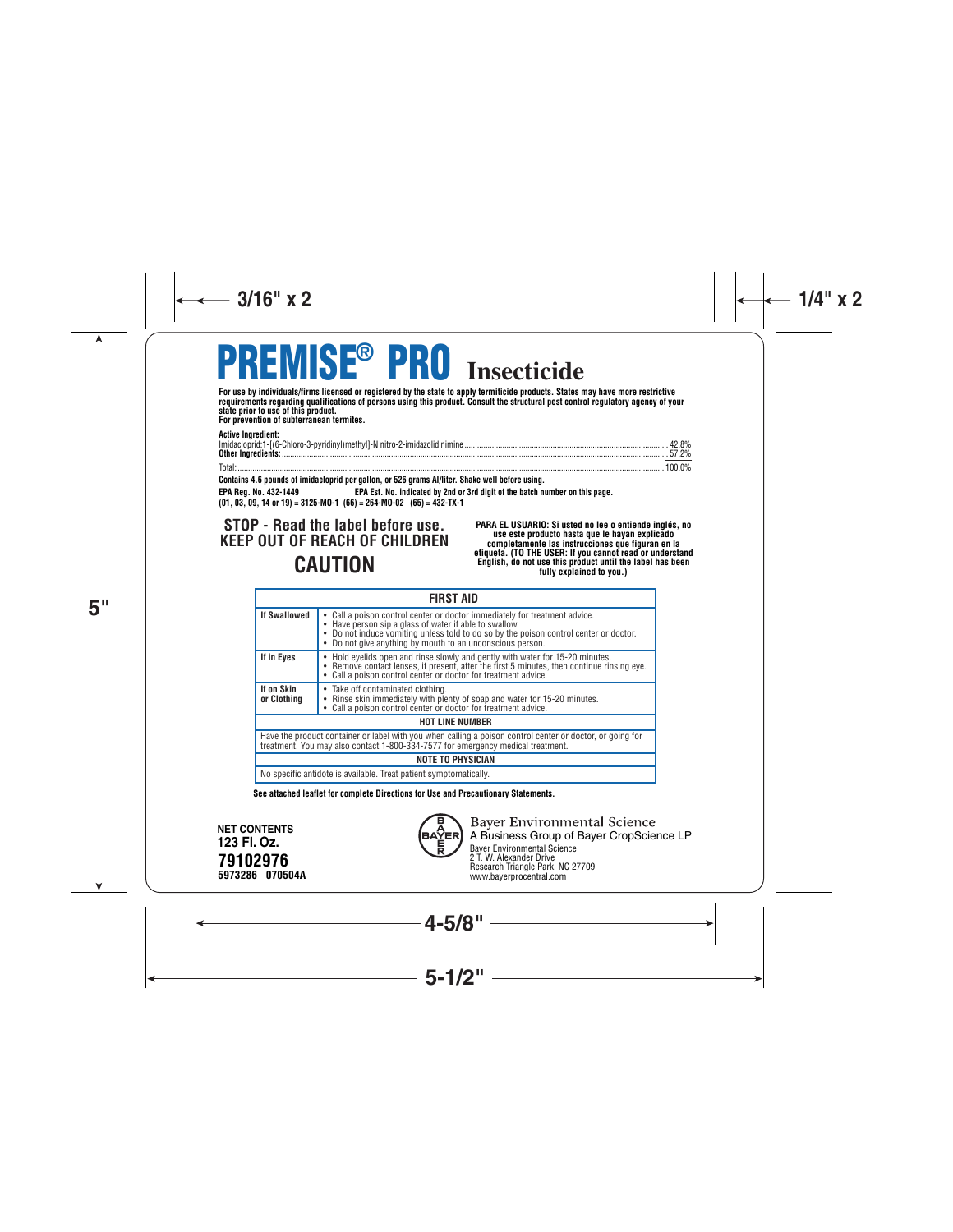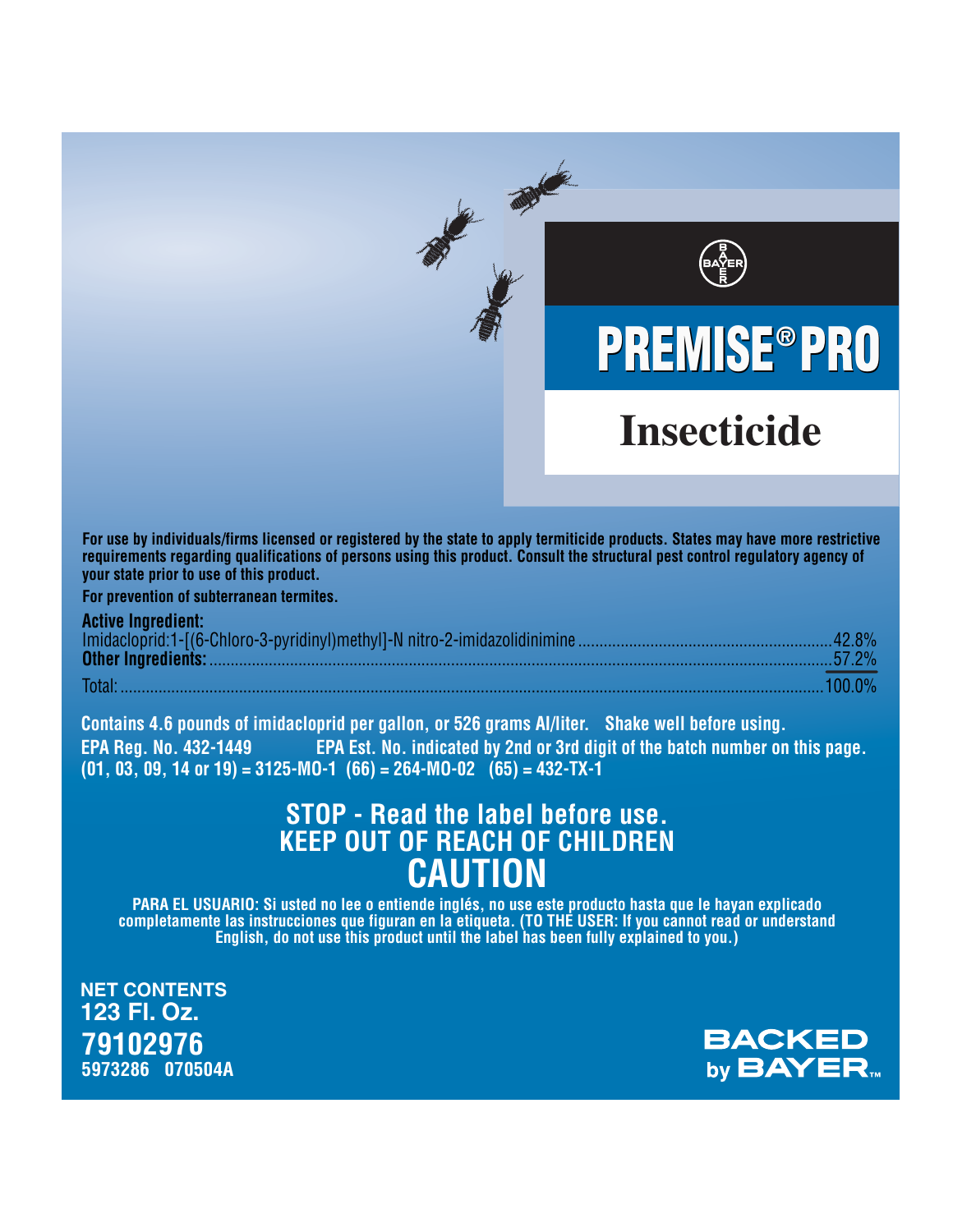# We milled to **PREMISE®PRO Insecticide**

For use by individuals/firms licensed or registered by the state to apply termiticide products. States may have more restrictive requirements regarding qualifications of persons using this product. Consult the structural pest control regulatory agency of your state prior to use of this product.

For prevention of subterranean termites.

| <b>AGINE INGIBULE</b> |  |
|-----------------------|--|
|                       |  |
|                       |  |

Contains 4.6 pounds of imidacloprid per gallon, or 526 grams Al/liter. Shake well before using. **EPA Reg. No. 432-1449** EPA Est. No. indicated by 2nd or 3rd digit of the batch number on this page.  $(01, 03, 09, 14 \text{ or } 19) = 3125 \cdot \text{MO-1}$   $(66) = 264 \cdot \text{MO-02}$   $(65) = 432 \cdot \text{TX-1}$ 

## STOP - Read the label before use. **KEEP OUT OF REACH OF CHILDREN CAUTION**

PARA EL USUARIO: Si usted no lee o entiende inglés, no use este producto hasta que le hayan explicado<br>completamente las instrucciones que figuran en la etiqueta. (TO THE USER: If you cannot read or understand<br>English, do n

**NET CONTENTS** 123 Fl. Oz. 79102976 5973286 070504A

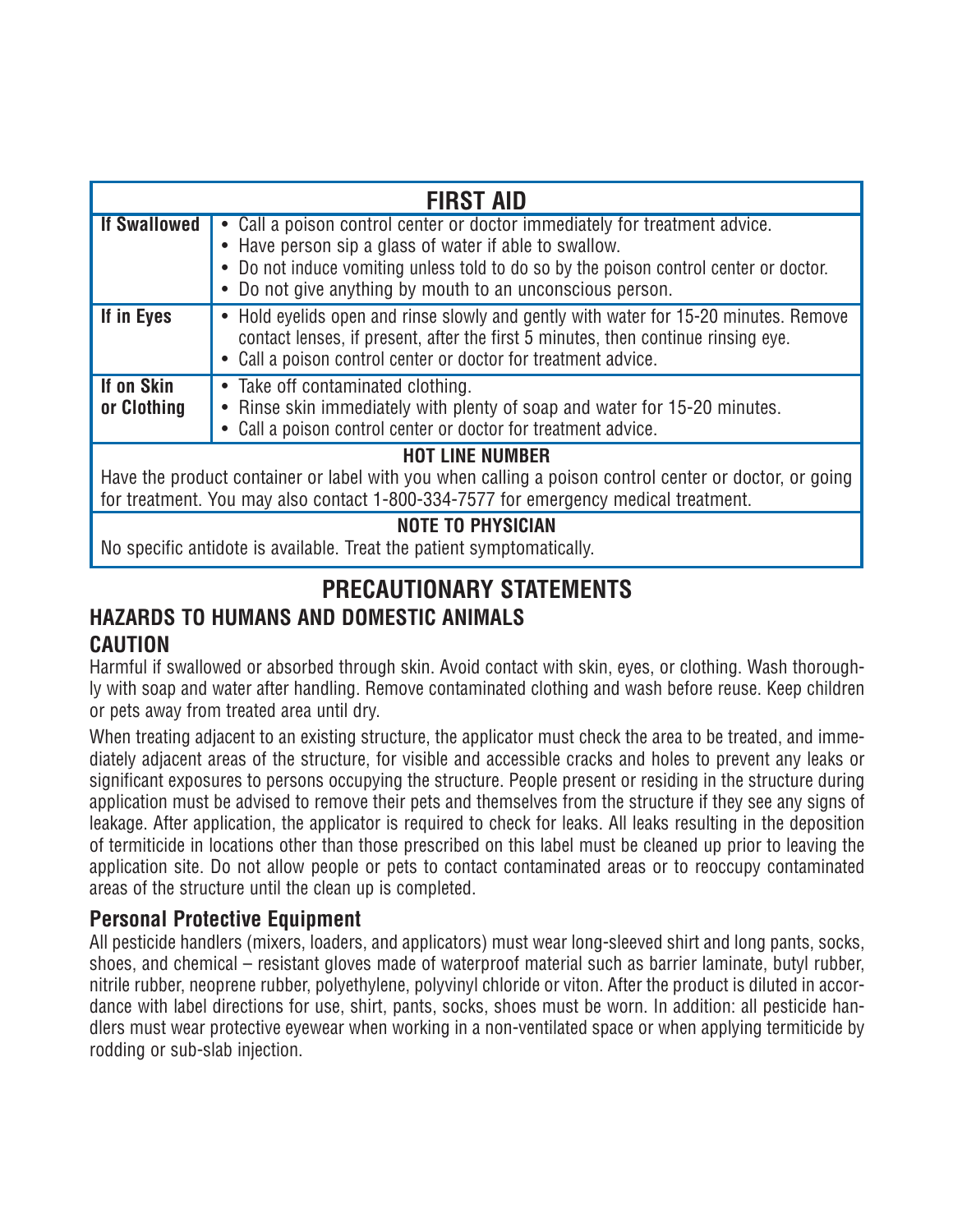| <b>FIRST AID</b>                                                                                                                                                                                                       |                                                                                                                                                                                                                                                                                            |  |
|------------------------------------------------------------------------------------------------------------------------------------------------------------------------------------------------------------------------|--------------------------------------------------------------------------------------------------------------------------------------------------------------------------------------------------------------------------------------------------------------------------------------------|--|
| <b>If Swallowed</b>                                                                                                                                                                                                    | • Call a poison control center or doctor immediately for treatment advice.<br>• Have person sip a glass of water if able to swallow.<br>• Do not induce vomiting unless told to do so by the poison control center or doctor.<br>• Do not give anything by mouth to an unconscious person. |  |
| If in Eyes                                                                                                                                                                                                             | • Hold evelids open and rinse slowly and gently with water for 15-20 minutes. Remove<br>contact lenses, if present, after the first 5 minutes, then continue rinsing eye.<br>• Call a poison control center or doctor for treatment advice.                                                |  |
| If on Skin<br>or Clothing                                                                                                                                                                                              | • Take off contaminated clothing.<br>• Rinse skin immediately with plenty of soap and water for 15-20 minutes.<br>• Call a poison control center or doctor for treatment advice.                                                                                                           |  |
| <b>HOT LINE NUMBER</b><br>Have the product container or label with you when calling a poison control center or doctor, or going<br>for treatment. You may also contact 1-800-334-7577 for emergency medical treatment. |                                                                                                                                                                                                                                                                                            |  |
| <b>NOTE TO PHYSICIAN</b>                                                                                                                                                                                               |                                                                                                                                                                                                                                                                                            |  |

No specific antidote is available. Treat the patient symptomatically.

## **PRECAUTIONARY STATEMENTS HAZARDS TO HUMANS AND DOMESTIC ANIMALS CAUTION**

Harmful if swallowed or absorbed through skin. Avoid contact with skin, eyes, or clothing. Wash thoroughly with soap and water after handling. Remove contaminated clothing and wash before reuse. Keep children or pets away from treated area until dry.

When treating adjacent to an existing structure, the applicator must check the area to be treated, and immediately adjacent areas of the structure, for visible and accessible cracks and holes to prevent any leaks or significant exposures to persons occupying the structure. People present or residing in the structure during application must be advised to remove their pets and themselves from the structure if they see any signs of leakage. After application, the applicator is required to check for leaks. All leaks resulting in the deposition of termiticide in locations other than those prescribed on this label must be cleaned up prior to leaving the application site. Do not allow people or pets to contact contaminated areas or to reoccupy contaminated areas of the structure until the clean up is completed.

## **Personal Protective Equipment**

All pesticide handlers (mixers, loaders, and applicators) must wear long-sleeved shirt and long pants, socks, shoes, and chemical – resistant gloves made of waterproof material such as barrier laminate, butyl rubber, nitrile rubber, neoprene rubber, polyethylene, polyvinyl chloride or viton. After the product is diluted in accordance with label directions for use, shirt, pants, socks, shoes must be worn. In addition: all pesticide handlers must wear protective eyewear when working in a non-ventilated space or when applying termiticide by rodding or sub-slab injection.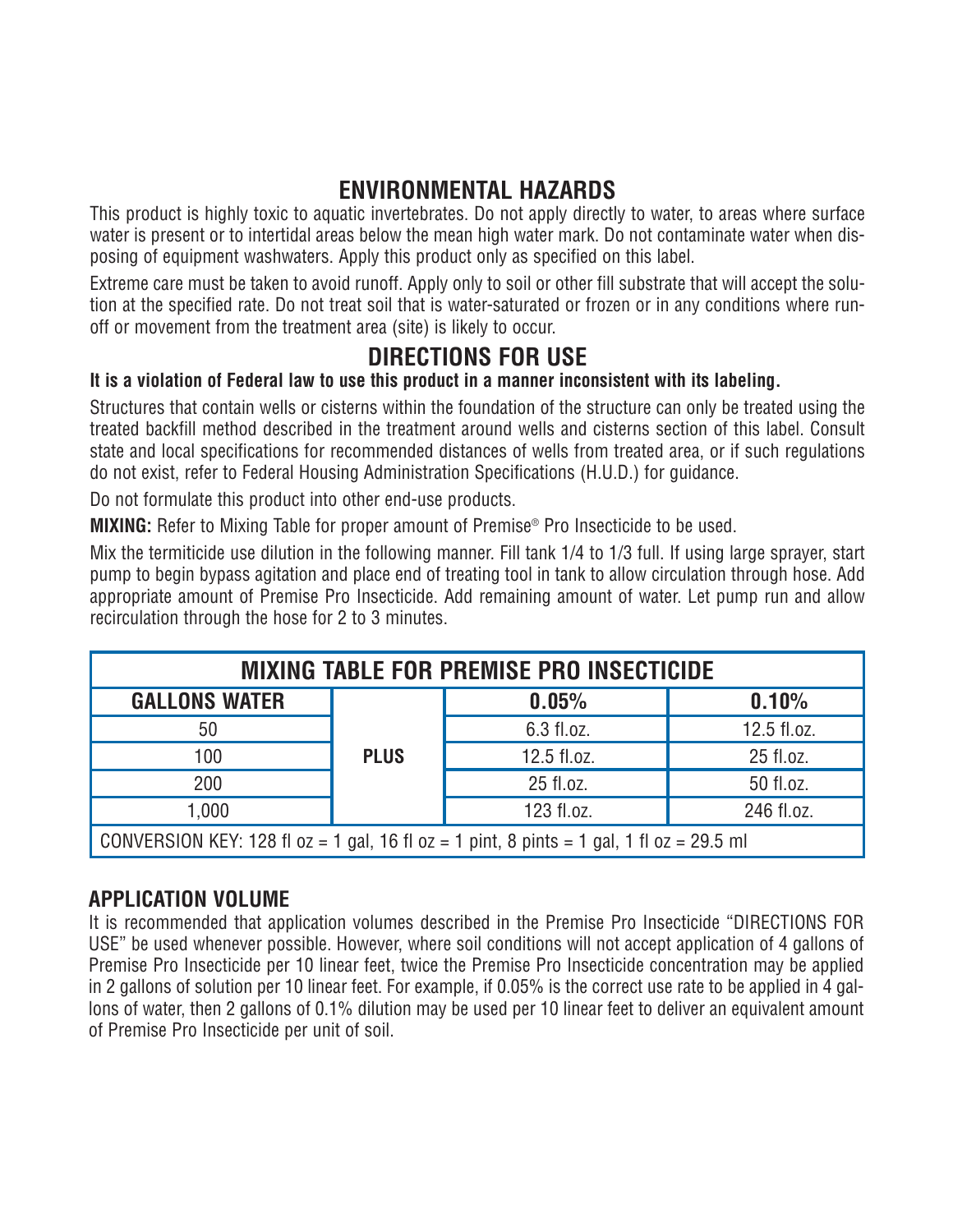## **ENVIRONMENTAL HAZARDS**

This product is highly toxic to aquatic invertebrates. Do not apply directly to water, to areas where surface water is present or to intertidal areas below the mean high water mark. Do not contaminate water when disposing of equipment washwaters. Apply this product only as specified on this label.

Extreme care must be taken to avoid runoff. Apply only to soil or other fill substrate that will accept the solution at the specified rate. Do not treat soil that is water-saturated or frozen or in any conditions where runoff or movement from the treatment area (site) is likely to occur.

## **DIRECTIONS FOR USE**

## **It is a violation of Federal law to use this product in a manner inconsistent with its labeling.**

Structures that contain wells or cisterns within the foundation of the structure can only be treated using the treated backfill method described in the treatment around wells and cisterns section of this label. Consult state and local specifications for recommended distances of wells from treated area, or if such regulations do not exist, refer to Federal Housing Administration Specifications (H.U.D.) for guidance.

Do not formulate this product into other end-use products.

**MIXING:** Refer to Mixing Table for proper amount of Premise<sup>®</sup> Pro Insecticide to be used.

Mix the termiticide use dilution in the following manner. Fill tank 1/4 to 1/3 full. If using large sprayer, start pump to begin bypass agitation and place end of treating tool in tank to allow circulation through hose. Add appropriate amount of Premise Pro Insecticide. Add remaining amount of water. Let pump run and allow recirculation through the hose for 2 to 3 minutes.

| <b>MIXING TABLE FOR PREMISE PRO INSECTICIDE</b>                                          |             |             |             |  |
|------------------------------------------------------------------------------------------|-------------|-------------|-------------|--|
| <b>GALLONS WATER</b>                                                                     |             | 0.05%       | 0.10%       |  |
| 50                                                                                       |             | 6.3 fl.oz.  | 12.5 fl.oz. |  |
| 100                                                                                      | <b>PLUS</b> | 12.5 fl.oz. | 25 fl.oz.   |  |
| 200                                                                                      |             | 25 fl.oz.   | 50 fl.oz.   |  |
| 1,000                                                                                    |             | 123 fl.oz.  | 246 fl.oz.  |  |
| CONVERSION KEY: 128 fl oz = 1 gal, 16 fl oz = 1 pint, 8 pints = 1 gal, 1 fl oz = 29.5 ml |             |             |             |  |

## **APPLICATION VOLUME**

It is recommended that application volumes described in the Premise Pro Insecticide "DIRECTIONS FOR USE" be used whenever possible. However, where soil conditions will not accept application of 4 gallons of Premise Pro Insecticide per 10 linear feet, twice the Premise Pro Insecticide concentration may be applied in 2 gallons of solution per 10 linear feet. For example, if 0.05% is the correct use rate to be applied in 4 gallons of water, then 2 gallons of 0.1% dilution may be used per 10 linear feet to deliver an equivalent amount of Premise Pro Insecticide per unit of soil.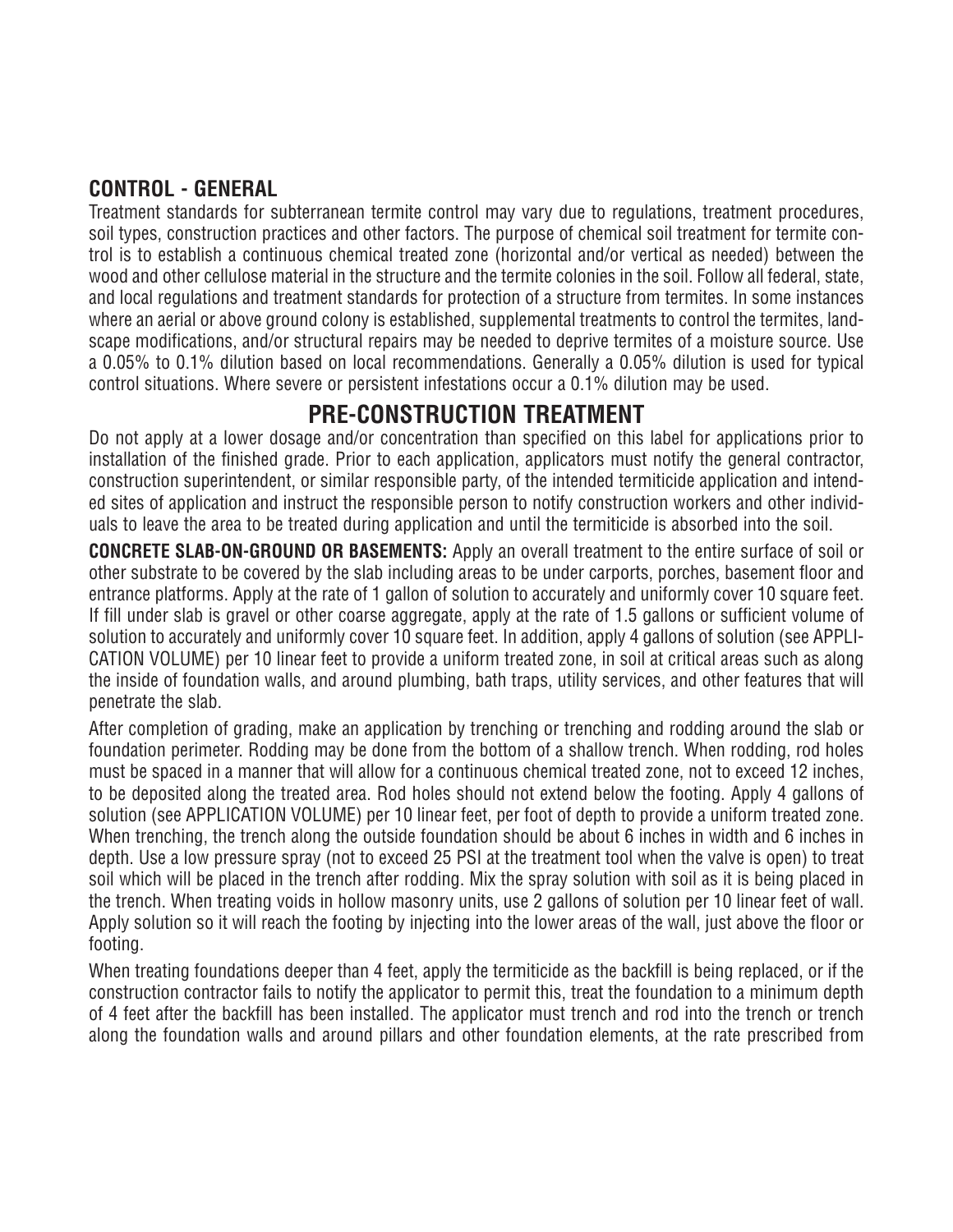## **CONTROL - GENERAL**

Treatment standards for subterranean termite control may vary due to regulations, treatment procedures, soil types, construction practices and other factors. The purpose of chemical soil treatment for termite control is to establish a continuous chemical treated zone (horizontal and/or vertical as needed) between the wood and other cellulose material in the structure and the termite colonies in the soil. Follow all federal, state, and local regulations and treatment standards for protection of a structure from termites. In some instances where an aerial or above ground colony is established, supplemental treatments to control the termites, landscape modifications, and/or structural repairs may be needed to deprive termites of a moisture source. Use a 0.05% to 0.1% dilution based on local recommendations. Generally a 0.05% dilution is used for typical control situations. Where severe or persistent infestations occur a 0.1% dilution may be used.

## **PRE-CONSTRUCTION TREATMENT**

Do not apply at a lower dosage and/or concentration than specified on this label for applications prior to installation of the finished grade. Prior to each application, applicators must notify the general contractor, construction superintendent, or similar responsible party, of the intended termiticide application and intended sites of application and instruct the responsible person to notify construction workers and other individuals to leave the area to be treated during application and until the termiticide is absorbed into the soil.

**CONCRETE SLAB-ON-GROUND OR BASEMENTS:** Apply an overall treatment to the entire surface of soil or other substrate to be covered by the slab including areas to be under carports, porches, basement floor and entrance platforms. Apply at the rate of 1 gallon of solution to accurately and uniformly cover 10 square feet. If fill under slab is gravel or other coarse aggregate, apply at the rate of 1.5 gallons or sufficient volume of solution to accurately and uniformly cover 10 square feet. In addition, apply 4 gallons of solution (see APPLI-CATION VOLUME) per 10 linear feet to provide a uniform treated zone, in soil at critical areas such as along the inside of foundation walls, and around plumbing, bath traps, utility services, and other features that will penetrate the slab.

After completion of grading, make an application by trenching or trenching and rodding around the slab or foundation perimeter. Rodding may be done from the bottom of a shallow trench. When rodding, rod holes must be spaced in a manner that will allow for a continuous chemical treated zone, not to exceed 12 inches, to be deposited along the treated area. Rod holes should not extend below the footing. Apply 4 gallons of solution (see APPLICATION VOLUME) per 10 linear feet, per foot of depth to provide a uniform treated zone. When trenching, the trench along the outside foundation should be about 6 inches in width and 6 inches in depth. Use a low pressure spray (not to exceed 25 PSI at the treatment tool when the valve is open) to treat soil which will be placed in the trench after rodding. Mix the spray solution with soil as it is being placed in the trench. When treating voids in hollow masonry units, use 2 gallons of solution per 10 linear feet of wall. Apply solution so it will reach the footing by injecting into the lower areas of the wall, just above the floor or footing.

When treating foundations deeper than 4 feet, apply the termiticide as the backfill is being replaced, or if the construction contractor fails to notify the applicator to permit this, treat the foundation to a minimum depth of 4 feet after the backfill has been installed. The applicator must trench and rod into the trench or trench along the foundation walls and around pillars and other foundation elements, at the rate prescribed from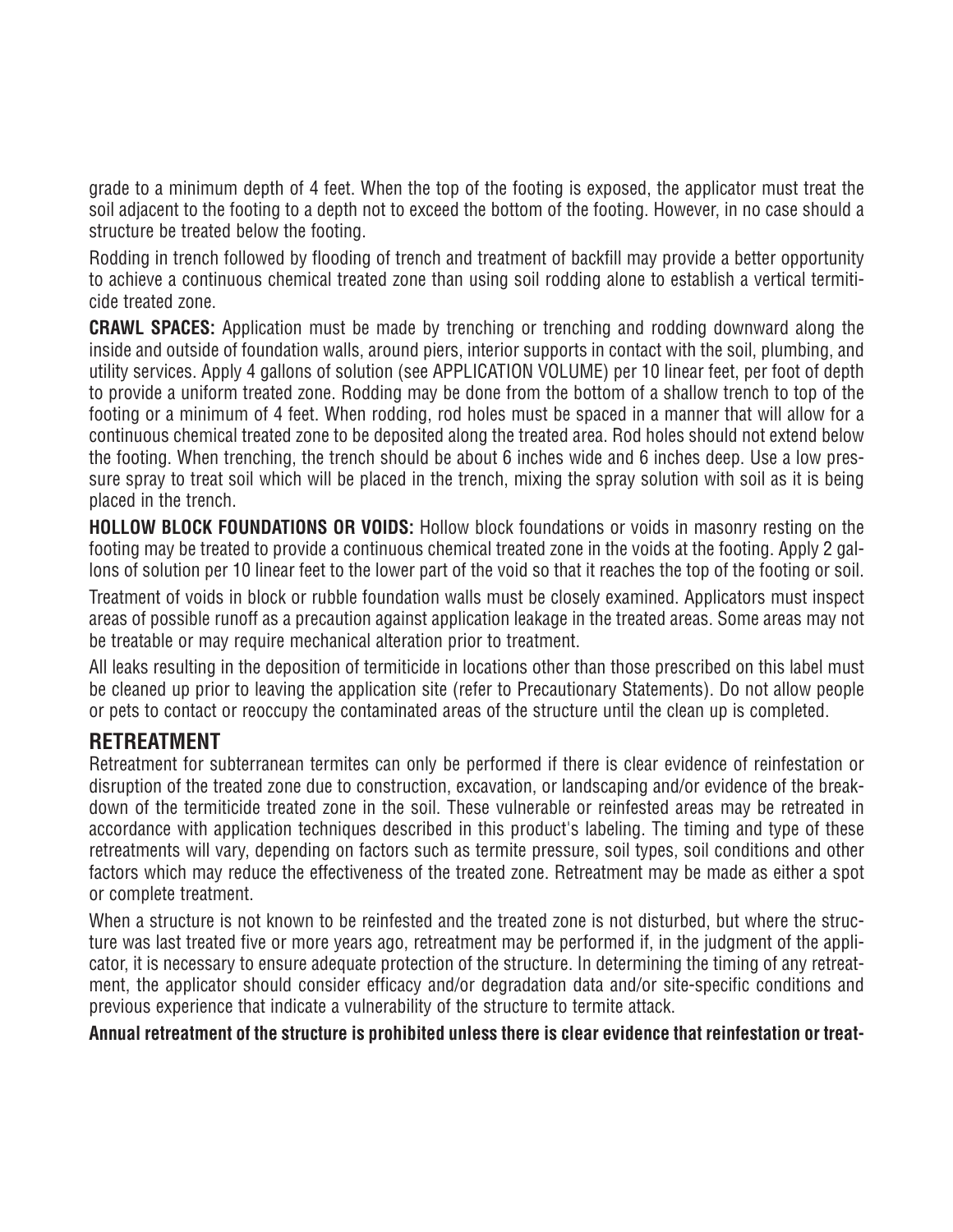grade to a minimum depth of 4 feet. When the top of the footing is exposed, the applicator must treat the soil adjacent to the footing to a depth not to exceed the bottom of the footing. However, in no case should a structure be treated below the footing.

Rodding in trench followed by flooding of trench and treatment of backfill may provide a better opportunity to achieve a continuous chemical treated zone than using soil rodding alone to establish a vertical termiticide treated zone.

**CRAWL SPACES:** Application must be made by trenching or trenching and rodding downward along the inside and outside of foundation walls, around piers, interior supports in contact with the soil, plumbing, and utility services. Apply 4 gallons of solution (see APPLICATION VOLUME) per 10 linear feet, per foot of depth to provide a uniform treated zone. Rodding may be done from the bottom of a shallow trench to top of the footing or a minimum of 4 feet. When rodding, rod holes must be spaced in a manner that will allow for a continuous chemical treated zone to be deposited along the treated area. Rod holes should not extend below the footing. When trenching, the trench should be about 6 inches wide and 6 inches deep. Use a low pressure spray to treat soil which will be placed in the trench, mixing the spray solution with soil as it is being placed in the trench.

**HOLLOW BLOCK FOUNDATIONS OR VOIDS:** Hollow block foundations or voids in masonry resting on the footing may be treated to provide a continuous chemical treated zone in the voids at the footing. Apply 2 gallons of solution per 10 linear feet to the lower part of the void so that it reaches the top of the footing or soil.

Treatment of voids in block or rubble foundation walls must be closely examined. Applicators must inspect areas of possible runoff as a precaution against application leakage in the treated areas. Some areas may not be treatable or may require mechanical alteration prior to treatment.

All leaks resulting in the deposition of termiticide in locations other than those prescribed on this label must be cleaned up prior to leaving the application site (refer to Precautionary Statements). Do not allow people or pets to contact or reoccupy the contaminated areas of the structure until the clean up is completed.

## **RETREATMENT**

Retreatment for subterranean termites can only be performed if there is clear evidence of reinfestation or disruption of the treated zone due to construction, excavation, or landscaping and/or evidence of the breakdown of the termiticide treated zone in the soil. These vulnerable or reinfested areas may be retreated in accordance with application techniques described in this product's labeling. The timing and type of these retreatments will vary, depending on factors such as termite pressure, soil types, soil conditions and other factors which may reduce the effectiveness of the treated zone. Retreatment may be made as either a spot or complete treatment.

When a structure is not known to be reinfested and the treated zone is not disturbed, but where the structure was last treated five or more years ago, retreatment may be performed if, in the judgment of the applicator, it is necessary to ensure adequate protection of the structure. In determining the timing of any retreatment, the applicator should consider efficacy and/or degradation data and/or site-specific conditions and previous experience that indicate a vulnerability of the structure to termite attack.

**Annual retreatment of the structure is prohibited unless there is clear evidence that reinfestation or treat-**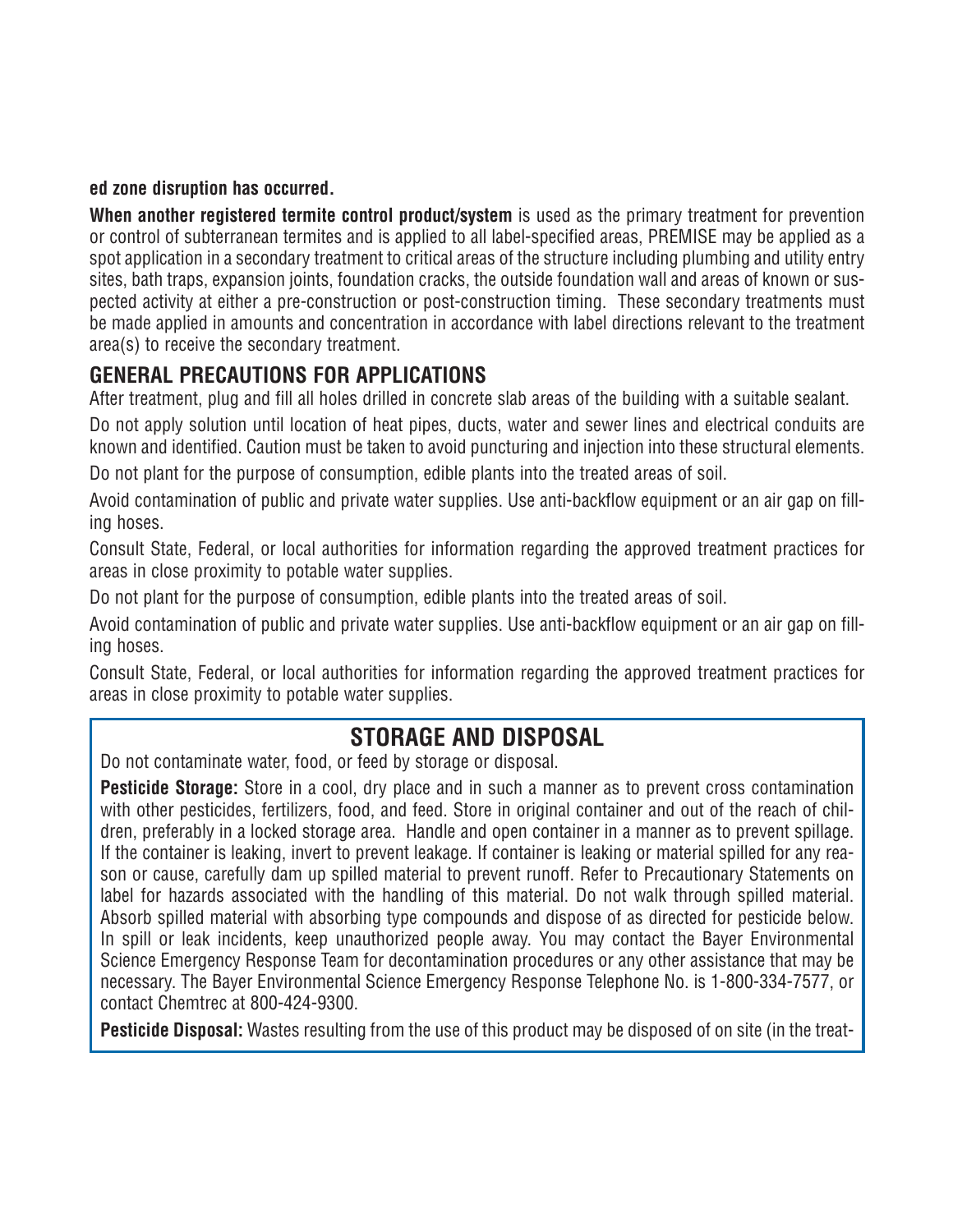### **ed zone disruption has occurred.**

**When another registered termite control product/system** is used as the primary treatment for prevention or control of subterranean termites and is applied to all label-specified areas, PREMISE may be applied as a spot application in a secondary treatment to critical areas of the structure including plumbing and utility entry sites, bath traps, expansion joints, foundation cracks, the outside foundation wall and areas of known or suspected activity at either a pre-construction or post-construction timing. These secondary treatments must be made applied in amounts and concentration in accordance with label directions relevant to the treatment area(s) to receive the secondary treatment.

## **GENERAL PRECAUTIONS FOR APPLICATIONS**

After treatment, plug and fill all holes drilled in concrete slab areas of the building with a suitable sealant.

Do not apply solution until location of heat pipes, ducts, water and sewer lines and electrical conduits are known and identified. Caution must be taken to avoid puncturing and injection into these structural elements.

Do not plant for the purpose of consumption, edible plants into the treated areas of soil.

Avoid contamination of public and private water supplies. Use anti-backflow equipment or an air gap on filling hoses.

Consult State, Federal, or local authorities for information regarding the approved treatment practices for areas in close proximity to potable water supplies.

Do not plant for the purpose of consumption, edible plants into the treated areas of soil.

Avoid contamination of public and private water supplies. Use anti-backflow equipment or an air gap on filling hoses.

Consult State, Federal, or local authorities for information regarding the approved treatment practices for areas in close proximity to potable water supplies.

## **STORAGE AND DISPOSAL**

Do not contaminate water, food, or feed by storage or disposal.

**Pesticide Storage:** Store in a cool, dry place and in such a manner as to prevent cross contamination with other pesticides, fertilizers, food, and feed. Store in original container and out of the reach of children, preferably in a locked storage area. Handle and open container in a manner as to prevent spillage. If the container is leaking, invert to prevent leakage. If container is leaking or material spilled for any reason or cause, carefully dam up spilled material to prevent runoff. Refer to Precautionary Statements on label for hazards associated with the handling of this material. Do not walk through spilled material. Absorb spilled material with absorbing type compounds and dispose of as directed for pesticide below. In spill or leak incidents, keep unauthorized people away. You may contact the Bayer Environmental Science Emergency Response Team for decontamination procedures or any other assistance that may be necessary. The Bayer Environmental Science Emergency Response Telephone No. is 1-800-334-7577, or contact Chemtrec at 800-424-9300.

**Pesticide Disposal:** Wastes resulting from the use of this product may be disposed of on site (in the treat-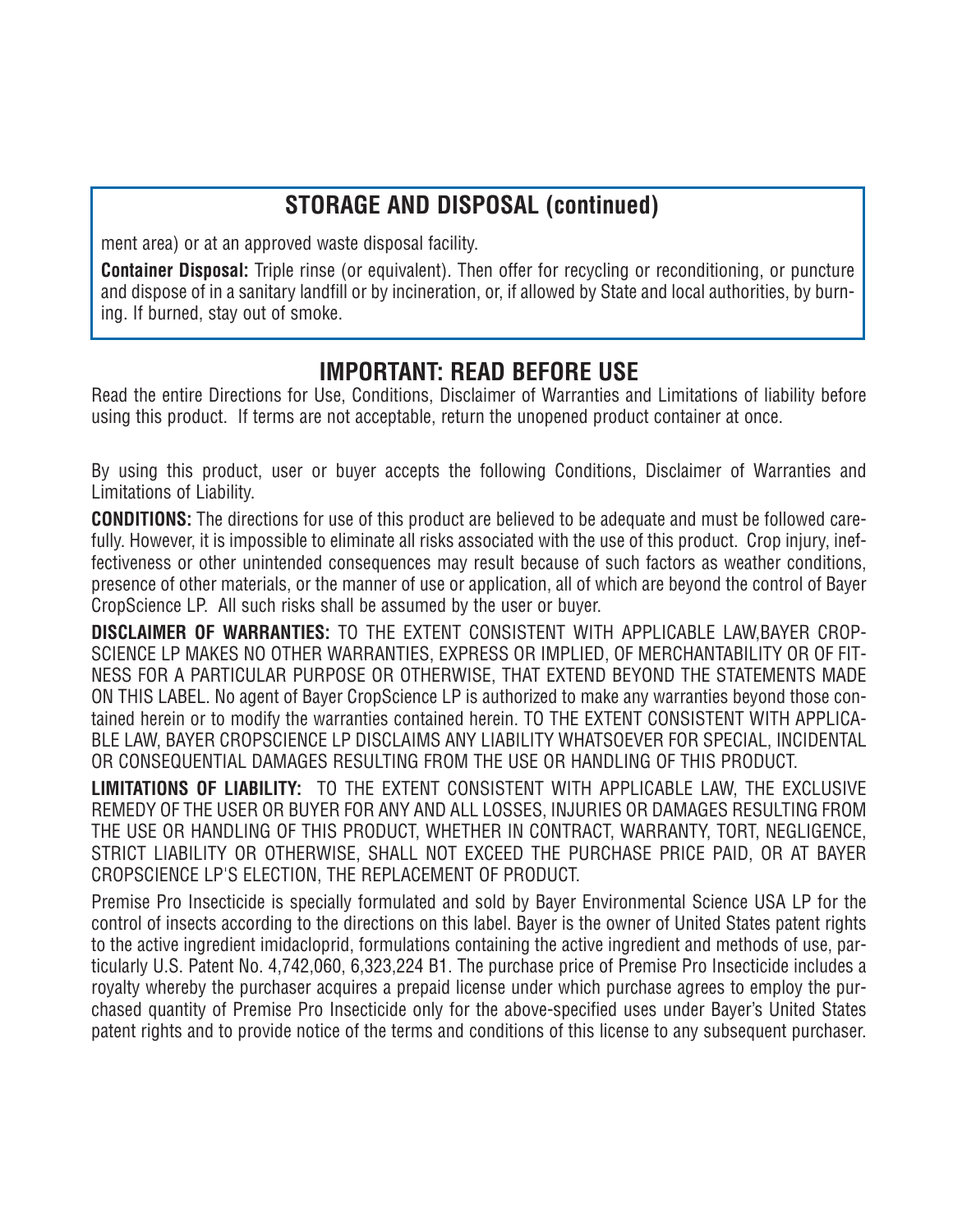## **STORAGE AND DISPOSAL (continued)**

ment area) or at an approved waste disposal facility.

**Container Disposal:** Triple rinse (or equivalent). Then offer for recycling or reconditioning, or puncture and dispose of in a sanitary landfill or by incineration, or, if allowed by State and local authorities, by burning. If burned, stay out of smoke.

## **IMPORTANT: READ BEFORE USE**

Read the entire Directions for Use, Conditions, Disclaimer of Warranties and Limitations of liability before using this product. If terms are not acceptable, return the unopened product container at once.

By using this product, user or buyer accepts the following Conditions, Disclaimer of Warranties and Limitations of Liability.

**CONDITIONS:** The directions for use of this product are believed to be adequate and must be followed carefully. However, it is impossible to eliminate all risks associated with the use of this product. Crop injury, ineffectiveness or other unintended consequences may result because of such factors as weather conditions, presence of other materials, or the manner of use or application, all of which are beyond the control of Bayer CropScience LP. All such risks shall be assumed by the user or buyer.

**DISCLAIMER OF WARRANTIES:** TO THE EXTENT CONSISTENT WITH APPLICABLE LAW,BAYER CROP-SCIENCE LP MAKES NO OTHER WARRANTIES, EXPRESS OR IMPLIED, OF MERCHANTABILITY OR OF FIT-NESS FOR A PARTICULAR PURPOSE OR OTHERWISE, THAT EXTEND BEYOND THE STATEMENTS MADE ON THIS LABEL. No agent of Bayer CropScience LP is authorized to make any warranties beyond those contained herein or to modify the warranties contained herein. TO THE EXTENT CONSISTENT WITH APPLICA-BLE LAW, BAYER CROPSCIENCE LP DISCLAIMS ANY LIABILITY WHATSOEVER FOR SPECIAL, INCIDENTAL OR CONSEQUENTIAL DAMAGES RESULTING FROM THE USE OR HANDLING OF THIS PRODUCT.

**LIMITATIONS OF LIABILITY:** TO THE EXTENT CONSISTENT WITH APPLICABLE LAW, THE EXCLUSIVE REMEDY OF THE USER OR BUYER FOR ANY AND ALL LOSSES, INJURIES OR DAMAGES RESULTING FROM THE USE OR HANDLING OF THIS PRODUCT, WHETHER IN CONTRACT, WARRANTY, TORT, NEGLIGENCE, STRICT LIABILITY OR OTHERWISE, SHALL NOT EXCEED THE PURCHASE PRICE PAID, OR AT BAYER CROPSCIENCE LP'S ELECTION, THE REPLACEMENT OF PRODUCT.

Premise Pro Insecticide is specially formulated and sold by Bayer Environmental Science USA LP for the control of insects according to the directions on this label. Bayer is the owner of United States patent rights to the active ingredient imidacloprid, formulations containing the active ingredient and methods of use, particularly U.S. Patent No. 4,742,060, 6,323,224 B1. The purchase price of Premise Pro Insecticide includes a royalty whereby the purchaser acquires a prepaid license under which purchase agrees to employ the purchased quantity of Premise Pro Insecticide only for the above-specified uses under Bayer's United States patent rights and to provide notice of the terms and conditions of this license to any subsequent purchaser.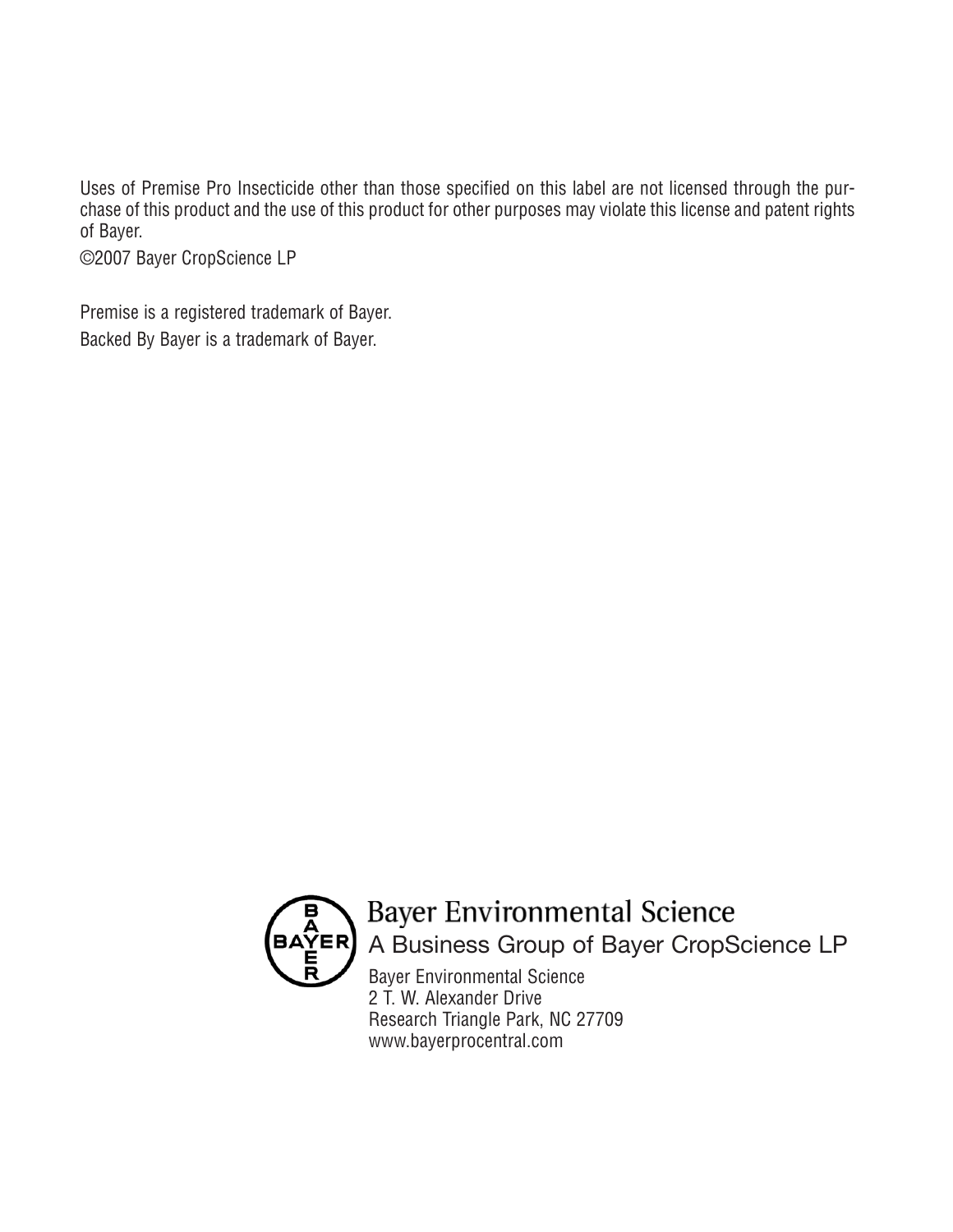Uses of Premise Pro Insecticide other than those specified on this label are not licensed through the purchase of this product and the use of this product for other purposes may violate this license and patent rights of Bayer.

©2007 Bayer CropScience LP

Premise is a registered trademark of Bayer. Backed By Bayer is a trademark of Bayer.



## **Bayer Environmental Science** A Business Group of Bayer CropScience LP

Bayer Environmental Science 2 T. W. Alexander Drive Research Triangle Park, NC 27709 www.bayerprocentral.com